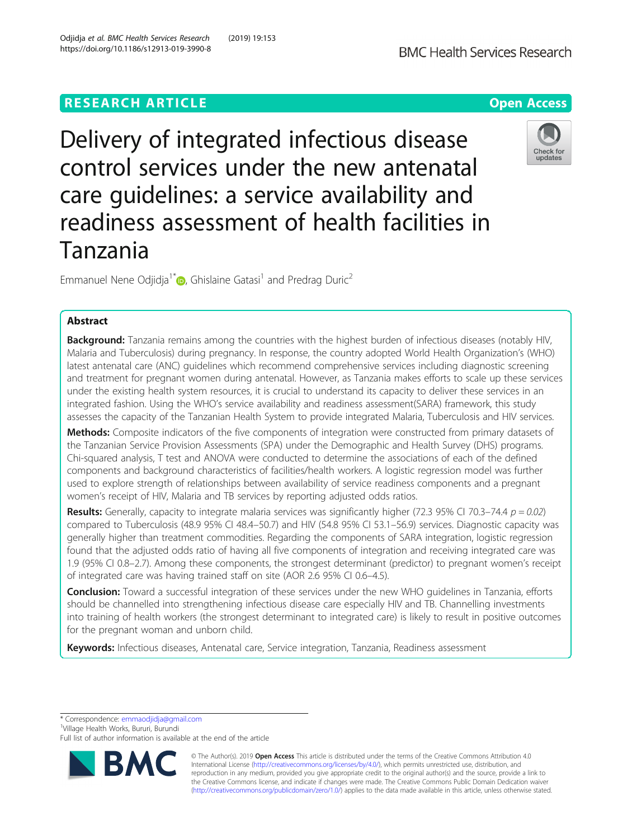# **RESEARCH ARTICLE Example 2014 12:30 The Contract of Contract ACCESS**

Delivery of integrated infectious disease control services under the new antenatal care guidelines: a service availability and readiness assessment of health facilities in Tanzania

Emmanuel Nene Odiidia<sup>1\*</sup>  $\bullet$ [,](http://orcid.org/0000-0003-3502-5120) Ghislaine Gatasi<sup>1</sup> and Predrag Duric<sup>2</sup>

# Abstract

Background: Tanzania remains among the countries with the highest burden of infectious diseases (notably HIV, Malaria and Tuberculosis) during pregnancy. In response, the country adopted World Health Organization's (WHO) latest antenatal care (ANC) guidelines which recommend comprehensive services including diagnostic screening and treatment for pregnant women during antenatal. However, as Tanzania makes efforts to scale up these services under the existing health system resources, it is crucial to understand its capacity to deliver these services in an integrated fashion. Using the WHO's service availability and readiness assessment(SARA) framework, this study assesses the capacity of the Tanzanian Health System to provide integrated Malaria, Tuberculosis and HIV services.

Methods: Composite indicators of the five components of integration were constructed from primary datasets of the Tanzanian Service Provision Assessments (SPA) under the Demographic and Health Survey (DHS) programs. Chi-squared analysis, T test and ANOVA were conducted to determine the associations of each of the defined components and background characteristics of facilities/health workers. A logistic regression model was further used to explore strength of relationships between availability of service readiness components and a pregnant women's receipt of HIV, Malaria and TB services by reporting adjusted odds ratios.

Results: Generally, capacity to integrate malaria services was significantly higher (72.3 95% CI 70.3–74.4  $p = 0.02$ ) compared to Tuberculosis (48.9 95% CI 48.4–50.7) and HIV (54.8 95% CI 53.1–56.9) services. Diagnostic capacity was generally higher than treatment commodities. Regarding the components of SARA integration, logistic regression found that the adjusted odds ratio of having all five components of integration and receiving integrated care was 1.9 (95% CI 0.8–2.7). Among these components, the strongest determinant (predictor) to pregnant women's receipt of integrated care was having trained staff on site (AOR 2.6 95% CI 0.6–4.5).

Conclusion: Toward a successful integration of these services under the new WHO guidelines in Tanzania, efforts should be channelled into strengthening infectious disease care especially HIV and TB. Channelling investments into training of health workers (the strongest determinant to integrated care) is likely to result in positive outcomes for the pregnant woman and unborn child.

Keywords: Infectious diseases, Antenatal care, Service integration, Tanzania, Readiness assessment

\* Correspondence: [emmaodjidja@gmail.com](mailto:emmaodjidja@gmail.com) <sup>1</sup>

Village Health Works, Bururi, Burundi

**BMC Health Services Research** 



© The Author(s). 2019 **Open Access** This article is distributed under the terms of the Creative Commons Attribution 4.0 International License [\(http://creativecommons.org/licenses/by/4.0/](http://creativecommons.org/licenses/by/4.0/)), which permits unrestricted use, distribution, and reproduction in any medium, provided you give appropriate credit to the original author(s) and the source, provide a link to the Creative Commons license, and indicate if changes were made. The Creative Commons Public Domain Dedication waiver [\(http://creativecommons.org/publicdomain/zero/1.0/](http://creativecommons.org/publicdomain/zero/1.0/)) applies to the data made available in this article, unless otherwise stated.



Full list of author information is available at the end of the article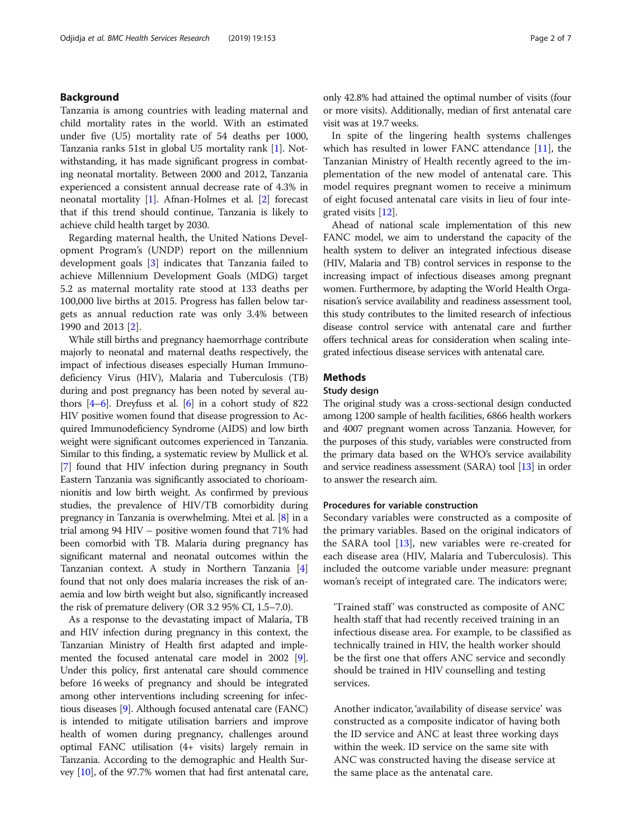# Background

Tanzania is among countries with leading maternal and child mortality rates in the world. With an estimated under five (U5) mortality rate of 54 deaths per 1000, Tanzania ranks 51st in global U5 mortality rank [\[1](#page-6-0)]. Notwithstanding, it has made significant progress in combating neonatal mortality. Between 2000 and 2012, Tanzania experienced a consistent annual decrease rate of 4.3% in neonatal mortality [[1](#page-6-0)]. Afnan-Holmes et al. [[2](#page-6-0)] forecast that if this trend should continue, Tanzania is likely to achieve child health target by 2030.

Regarding maternal health, the United Nations Development Program's (UNDP) report on the millennium development goals [[3\]](#page-6-0) indicates that Tanzania failed to achieve Millennium Development Goals (MDG) target 5.2 as maternal mortality rate stood at 133 deaths per 100,000 live births at 2015. Progress has fallen below targets as annual reduction rate was only 3.4% between 1990 and 2013 [[2\]](#page-6-0).

While still births and pregnancy haemorrhage contribute majorly to neonatal and maternal deaths respectively, the impact of infectious diseases especially Human Immunodeficiency Virus (HIV), Malaria and Tuberculosis (TB) during and post pregnancy has been noted by several authors [\[4](#page-6-0)–[6\]](#page-6-0). Dreyfuss et al. [\[6](#page-6-0)] in a cohort study of 822 HIV positive women found that disease progression to Acquired Immunodeficiency Syndrome (AIDS) and low birth weight were significant outcomes experienced in Tanzania. Similar to this finding, a systematic review by Mullick et al. [[7](#page-6-0)] found that HIV infection during pregnancy in South Eastern Tanzania was significantly associated to chorioamnionitis and low birth weight. As confirmed by previous studies, the prevalence of HIV/TB comorbidity during pregnancy in Tanzania is overwhelming. Mtei et al. [\[8\]](#page-6-0) in a trial among 94 HIV – positive women found that 71% had been comorbid with TB. Malaria during pregnancy has significant maternal and neonatal outcomes within the Tanzanian context. A study in Northern Tanzania [[4](#page-6-0)] found that not only does malaria increases the risk of anaemia and low birth weight but also, significantly increased the risk of premature delivery (OR 3.2 95% CI, 1.5–7.0).

As a response to the devastating impact of Malaria, TB and HIV infection during pregnancy in this context, the Tanzanian Ministry of Health first adapted and implemented the focused antenatal care model in 2002 [[9](#page-6-0)]. Under this policy, first antenatal care should commence before 16 weeks of pregnancy and should be integrated among other interventions including screening for infectious diseases [[9](#page-6-0)]. Although focused antenatal care (FANC) is intended to mitigate utilisation barriers and improve health of women during pregnancy, challenges around optimal FANC utilisation (4+ visits) largely remain in Tanzania. According to the demographic and Health Survey [[10](#page-6-0)], of the 97.7% women that had first antenatal care, only 42.8% had attained the optimal number of visits (four or more visits). Additionally, median of first antenatal care visit was at 19.7 weeks.

In spite of the lingering health systems challenges which has resulted in lower FANC attendance [[11](#page-6-0)], the Tanzanian Ministry of Health recently agreed to the implementation of the new model of antenatal care. This model requires pregnant women to receive a minimum of eight focused antenatal care visits in lieu of four integrated visits [[12\]](#page-6-0).

Ahead of national scale implementation of this new FANC model, we aim to understand the capacity of the health system to deliver an integrated infectious disease (HIV, Malaria and TB) control services in response to the increasing impact of infectious diseases among pregnant women. Furthermore, by adapting the World Health Organisation's service availability and readiness assessment tool, this study contributes to the limited research of infectious disease control service with antenatal care and further offers technical areas for consideration when scaling integrated infectious disease services with antenatal care.

# Methods

# Study design

The original study was a cross-sectional design conducted among 1200 sample of health facilities, 6866 health workers and 4007 pregnant women across Tanzania. However, for the purposes of this study, variables were constructed from the primary data based on the WHO's service availability and service readiness assessment (SARA) tool [\[13\]](#page-6-0) in order to answer the research aim.

# Procedures for variable construction

Secondary variables were constructed as a composite of the primary variables. Based on the original indicators of the SARA tool [[13\]](#page-6-0), new variables were re-created for each disease area (HIV, Malaria and Tuberculosis). This included the outcome variable under measure: pregnant woman's receipt of integrated care. The indicators were;

'Trained staff' was constructed as composite of ANC health staff that had recently received training in an infectious disease area. For example, to be classified as technically trained in HIV, the health worker should be the first one that offers ANC service and secondly should be trained in HIV counselling and testing services.

Another indicator, 'availability of disease service' was constructed as a composite indicator of having both the ID service and ANC at least three working days within the week. ID service on the same site with ANC was constructed having the disease service at the same place as the antenatal care.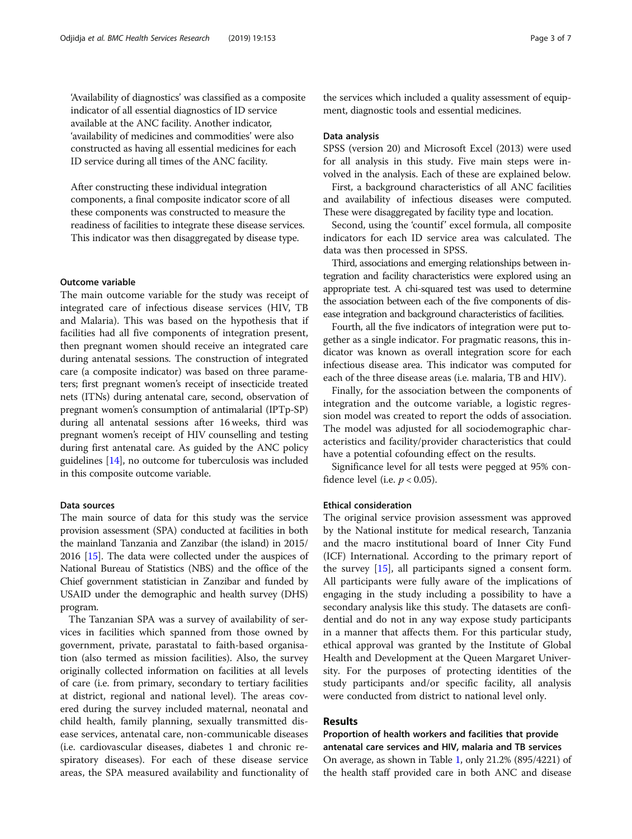'Availability of diagnostics' was classified as a composite indicator of all essential diagnostics of ID service available at the ANC facility. Another indicator, 'availability of medicines and commodities' were also constructed as having all essential medicines for each ID service during all times of the ANC facility.

After constructing these individual integration components, a final composite indicator score of all these components was constructed to measure the readiness of facilities to integrate these disease services. This indicator was then disaggregated by disease type.

# Outcome variable

The main outcome variable for the study was receipt of integrated care of infectious disease services (HIV, TB and Malaria). This was based on the hypothesis that if facilities had all five components of integration present, then pregnant women should receive an integrated care during antenatal sessions. The construction of integrated care (a composite indicator) was based on three parameters; first pregnant women's receipt of insecticide treated nets (ITNs) during antenatal care, second, observation of pregnant women's consumption of antimalarial (IPTp-SP) during all antenatal sessions after 16 weeks, third was pregnant women's receipt of HIV counselling and testing during first antenatal care. As guided by the ANC policy guidelines [[14\]](#page-6-0), no outcome for tuberculosis was included in this composite outcome variable.

## Data sources

The main source of data for this study was the service provision assessment (SPA) conducted at facilities in both the mainland Tanzania and Zanzibar (the island) in 2015/ 2016 [[15](#page-6-0)]. The data were collected under the auspices of National Bureau of Statistics (NBS) and the office of the Chief government statistician in Zanzibar and funded by USAID under the demographic and health survey (DHS) program.

The Tanzanian SPA was a survey of availability of services in facilities which spanned from those owned by government, private, parastatal to faith-based organisation (also termed as mission facilities). Also, the survey originally collected information on facilities at all levels of care (i.e. from primary, secondary to tertiary facilities at district, regional and national level). The areas covered during the survey included maternal, neonatal and child health, family planning, sexually transmitted disease services, antenatal care, non-communicable diseases (i.e. cardiovascular diseases, diabetes 1 and chronic respiratory diseases). For each of these disease service areas, the SPA measured availability and functionality of

the services which included a quality assessment of equipment, diagnostic tools and essential medicines.

#### Data analysis

SPSS (version 20) and Microsoft Excel (2013) were used for all analysis in this study. Five main steps were involved in the analysis. Each of these are explained below.

First, a background characteristics of all ANC facilities and availability of infectious diseases were computed. These were disaggregated by facility type and location.

Second, using the 'countif' excel formula, all composite indicators for each ID service area was calculated. The data was then processed in SPSS.

Third, associations and emerging relationships between integration and facility characteristics were explored using an appropriate test. A chi-squared test was used to determine the association between each of the five components of disease integration and background characteristics of facilities.

Fourth, all the five indicators of integration were put together as a single indicator. For pragmatic reasons, this indicator was known as overall integration score for each infectious disease area. This indicator was computed for each of the three disease areas (i.e. malaria, TB and HIV).

Finally, for the association between the components of integration and the outcome variable, a logistic regression model was created to report the odds of association. The model was adjusted for all sociodemographic characteristics and facility/provider characteristics that could have a potential cofounding effect on the results.

Significance level for all tests were pegged at 95% confidence level (i.e.  $p < 0.05$ ).

### Ethical consideration

The original service provision assessment was approved by the National institute for medical research, Tanzania and the macro institutional board of Inner City Fund (ICF) International. According to the primary report of the survey [[15\]](#page-6-0), all participants signed a consent form. All participants were fully aware of the implications of engaging in the study including a possibility to have a secondary analysis like this study. The datasets are confidential and do not in any way expose study participants in a manner that affects them. For this particular study, ethical approval was granted by the Institute of Global Health and Development at the Queen Margaret University. For the purposes of protecting identities of the study participants and/or specific facility, all analysis were conducted from district to national level only.

# Results

Proportion of health workers and facilities that provide antenatal care services and HIV, malaria and TB services On average, as shown in Table [1](#page-3-0), only 21.2% (895/4221) of the health staff provided care in both ANC and disease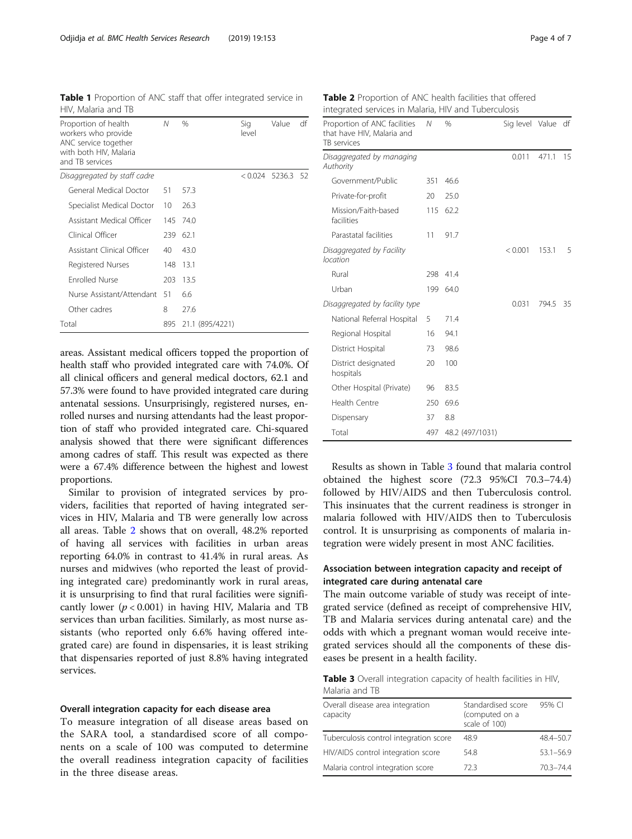<span id="page-3-0"></span>

| Table 1 Proportion of ANC staff that offer integrated service in |  |  |  |
|------------------------------------------------------------------|--|--|--|
| HIV, Malaria and TB                                              |  |  |  |

| Proportion of health<br>workers who provide<br>ANC service together<br>with both HIV, Malaria<br>and TB services | N   | $\%$            | Sig<br>level | Value  | df   |
|------------------------------------------------------------------------------------------------------------------|-----|-----------------|--------------|--------|------|
| Disaggregated by staff cadre                                                                                     |     |                 | < 0.024      | 5236.3 | - 52 |
| General Medical Doctor                                                                                           | 51  | 57.3            |              |        |      |
| Specialist Medical Doctor                                                                                        | 10  | 26.3            |              |        |      |
| Assistant Medical Officer                                                                                        | 145 | 74.0            |              |        |      |
| Clinical Officer                                                                                                 | 239 | 62.1            |              |        |      |
| Assistant Clinical Officer                                                                                       | 40  | 43.0            |              |        |      |
| Registered Nurses                                                                                                | 148 | 13.1            |              |        |      |
| <b>Enrolled Nurse</b>                                                                                            | 203 | 13.5            |              |        |      |
| Nurse Assistant/Attendant                                                                                        | 51  | 6.6             |              |        |      |
| Other cadres                                                                                                     | 8   | 27.6            |              |        |      |
| Total                                                                                                            |     | 21.1 (895/4221) |              |        |      |

areas. Assistant medical officers topped the proportion of health staff who provided integrated care with 74.0%. Of all clinical officers and general medical doctors, 62.1 and 57.3% were found to have provided integrated care during antenatal sessions. Unsurprisingly, registered nurses, enrolled nurses and nursing attendants had the least proportion of staff who provided integrated care. Chi-squared analysis showed that there were significant differences among cadres of staff. This result was expected as there were a 67.4% difference between the highest and lowest proportions.

Similar to provision of integrated services by providers, facilities that reported of having integrated services in HIV, Malaria and TB were generally low across all areas. Table 2 shows that on overall, 48.2% reported of having all services with facilities in urban areas reporting 64.0% in contrast to 41.4% in rural areas. As nurses and midwives (who reported the least of providing integrated care) predominantly work in rural areas, it is unsurprising to find that rural facilities were significantly lower  $(p < 0.001)$  in having HIV, Malaria and TB services than urban facilities. Similarly, as most nurse assistants (who reported only 6.6% having offered integrated care) are found in dispensaries, it is least striking that dispensaries reported of just 8.8% having integrated services.

## Overall integration capacity for each disease area

To measure integration of all disease areas based on the SARA tool, a standardised score of all components on a scale of 100 was computed to determine the overall readiness integration capacity of facilities in the three disease areas.

Table 2 Proportion of ANC health facilities that offered integrated services in Malaria, HIV and Tuberculosis

| Proportion of ANC facilities<br>that have HIV, Malaria and<br>TB services | Ν   | $\%$            | Sig level Value df |       |    |
|---------------------------------------------------------------------------|-----|-----------------|--------------------|-------|----|
| Disaggregated by managing<br>Authority                                    |     |                 | 0.011              | 471.1 | 15 |
| Government/Public                                                         | 351 | 46.6            |                    |       |    |
| Private-for-profit                                                        | 20  | 25.0            |                    |       |    |
| Mission/Faith-based<br>facilities                                         | 115 | 62.2            |                    |       |    |
| Parastatal facilities                                                     | 11  | 91.7            |                    |       |    |
| Disaggregated by Facility<br>location                                     |     |                 | < 0.001            | 153.1 | 5  |
| Rural                                                                     | 298 | 41.4            |                    |       |    |
| Urban                                                                     |     | 199 64.0        |                    |       |    |
| Disaggregated by facility type                                            |     |                 | 0.031              | 794.5 | 35 |
| National Referral Hospital                                                | 5   | 71.4            |                    |       |    |
| Regional Hospital                                                         | 16  | 94.1            |                    |       |    |
| District Hospital                                                         | 73  | 98.6            |                    |       |    |
| District designated<br>hospitals                                          | 20  | 100             |                    |       |    |
| Other Hospital (Private)                                                  | 96  | 83.5            |                    |       |    |
| Health Centre                                                             | 250 | 69.6            |                    |       |    |
| Dispensary                                                                | 37  | 8.8             |                    |       |    |
| Total                                                                     | 497 | 48.2 (497/1031) |                    |       |    |

Results as shown in Table 3 found that malaria control obtained the highest score (72.3 95%CI 70.3–74.4) followed by HIV/AIDS and then Tuberculosis control. This insinuates that the current readiness is stronger in malaria followed with HIV/AIDS then to Tuberculosis control. It is unsurprising as components of malaria integration were widely present in most ANC facilities.

# Association between integration capacity and receipt of integrated care during antenatal care

The main outcome variable of study was receipt of integrated service (defined as receipt of comprehensive HIV, TB and Malaria services during antenatal care) and the odds with which a pregnant woman would receive integrated services should all the components of these diseases be present in a health facility.

Table 3 Overall integration capacity of health facilities in HIV, Malaria and TB

| Overall disease area integration<br>capacity | Standardised score<br>(computed on a<br>scale of 100) | 95% CI        |
|----------------------------------------------|-------------------------------------------------------|---------------|
| Tuberculosis control integration score       | 48.9                                                  | 48.4-50.7     |
| HIV/AIDS control integration score           | 54.8                                                  | $53.1 - 56.9$ |
| Malaria control integration score            | 72 3                                                  | $70.3 - 74.4$ |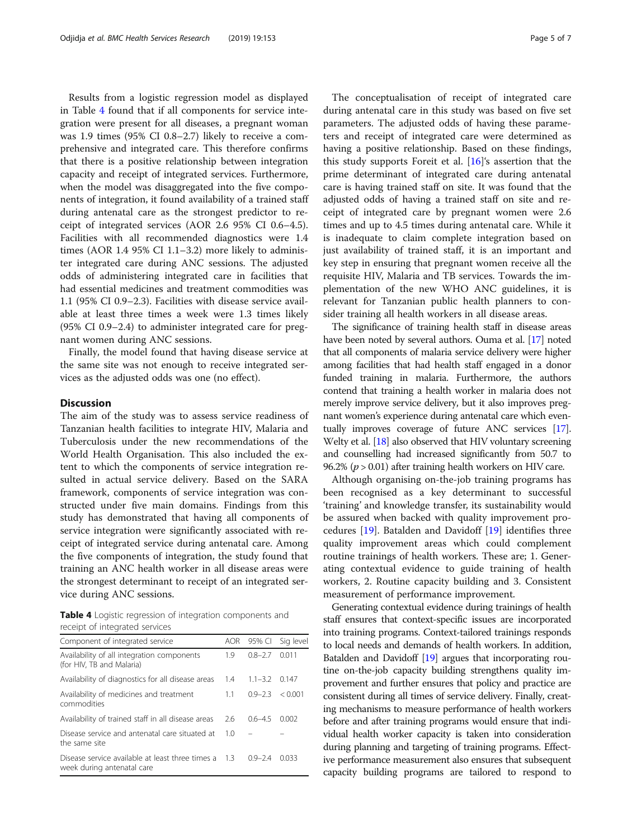Results from a logistic regression model as displayed in Table 4 found that if all components for service integration were present for all diseases, a pregnant woman was 1.9 times (95% CI 0.8–2.7) likely to receive a comprehensive and integrated care. This therefore confirms that there is a positive relationship between integration capacity and receipt of integrated services. Furthermore, when the model was disaggregated into the five components of integration, it found availability of a trained staff during antenatal care as the strongest predictor to receipt of integrated services (AOR 2.6 95% CI 0.6–4.5). Facilities with all recommended diagnostics were 1.4 times (AOR 1.4 95% CI 1.1–3.2) more likely to administer integrated care during ANC sessions. The adjusted odds of administering integrated care in facilities that had essential medicines and treatment commodities was 1.1 (95% CI 0.9–2.3). Facilities with disease service available at least three times a week were 1.3 times likely (95% CI 0.9–2.4) to administer integrated care for pregnant women during ANC sessions.

Finally, the model found that having disease service at the same site was not enough to receive integrated services as the adjusted odds was one (no effect).

### **Discussion**

The aim of the study was to assess service readiness of Tanzanian health facilities to integrate HIV, Malaria and Tuberculosis under the new recommendations of the World Health Organisation. This also included the extent to which the components of service integration resulted in actual service delivery. Based on the SARA framework, components of service integration was constructed under five main domains. Findings from this study has demonstrated that having all components of service integration were significantly associated with receipt of integrated service during antenatal care. Among the five components of integration, the study found that training an ANC health worker in all disease areas were the strongest determinant to receipt of an integrated service during ANC sessions.

Table 4 Logistic regression of integration components and receipt of integrated services

| Component of integrated service                                                    | AOR. | 95% CI      | Sig level |
|------------------------------------------------------------------------------------|------|-------------|-----------|
| Availability of all integration components<br>(for HIV, TB and Malaria)            | 1.9  | $0.8 - 2.7$ | 0.011     |
| Availability of diagnostics for all disease areas                                  | 1.4  | $1.1 - 3.2$ | 0.147     |
| Availability of medicines and treatment<br>commodities                             | 11   | $09 - 23$   | < 0.001   |
| Availability of trained staff in all disease areas                                 | 2.6  | $0.6 - 4.5$ | 0.002     |
| Disease service and antenatal care situated at<br>the same site                    | 1.0  |             |           |
| Disease service available at least three times a 1.3<br>week during antenatal care |      | $09 - 24$   | 0033      |

The conceptualisation of receipt of integrated care during antenatal care in this study was based on five set parameters. The adjusted odds of having these parameters and receipt of integrated care were determined as having a positive relationship. Based on these findings, this study supports Foreit et al.  $[16]$  $[16]$  $[16]$ 's assertion that the prime determinant of integrated care during antenatal care is having trained staff on site. It was found that the adjusted odds of having a trained staff on site and receipt of integrated care by pregnant women were 2.6 times and up to 4.5 times during antenatal care. While it is inadequate to claim complete integration based on just availability of trained staff, it is an important and key step in ensuring that pregnant women receive all the requisite HIV, Malaria and TB services. Towards the implementation of the new WHO ANC guidelines, it is relevant for Tanzanian public health planners to consider training all health workers in all disease areas.

The significance of training health staff in disease areas have been noted by several authors. Ouma et al. [[17](#page-6-0)] noted that all components of malaria service delivery were higher among facilities that had health staff engaged in a donor funded training in malaria. Furthermore, the authors contend that training a health worker in malaria does not merely improve service delivery, but it also improves pregnant women's experience during antenatal care which eventually improves coverage of future ANC services [\[17](#page-6-0)]. Welty et al. [[18](#page-6-0)] also observed that HIV voluntary screening and counselling had increased significantly from 50.7 to 96.2% ( $p > 0.01$ ) after training health workers on HIV care.

Although organising on-the-job training programs has been recognised as a key determinant to successful 'training' and knowledge transfer, its sustainability would be assured when backed with quality improvement procedures [[19\]](#page-6-0). Batalden and Davidoff [[19](#page-6-0)] identifies three quality improvement areas which could complement routine trainings of health workers. These are; 1. Generating contextual evidence to guide training of health workers, 2. Routine capacity building and 3. Consistent measurement of performance improvement.

Generating contextual evidence during trainings of health staff ensures that context-specific issues are incorporated into training programs. Context-tailored trainings responds to local needs and demands of health workers. In addition, Batalden and Davidoff [[19\]](#page-6-0) argues that incorporating routine on-the-job capacity building strengthens quality improvement and further ensures that policy and practice are consistent during all times of service delivery. Finally, creating mechanisms to measure performance of health workers before and after training programs would ensure that individual health worker capacity is taken into consideration during planning and targeting of training programs. Effective performance measurement also ensures that subsequent capacity building programs are tailored to respond to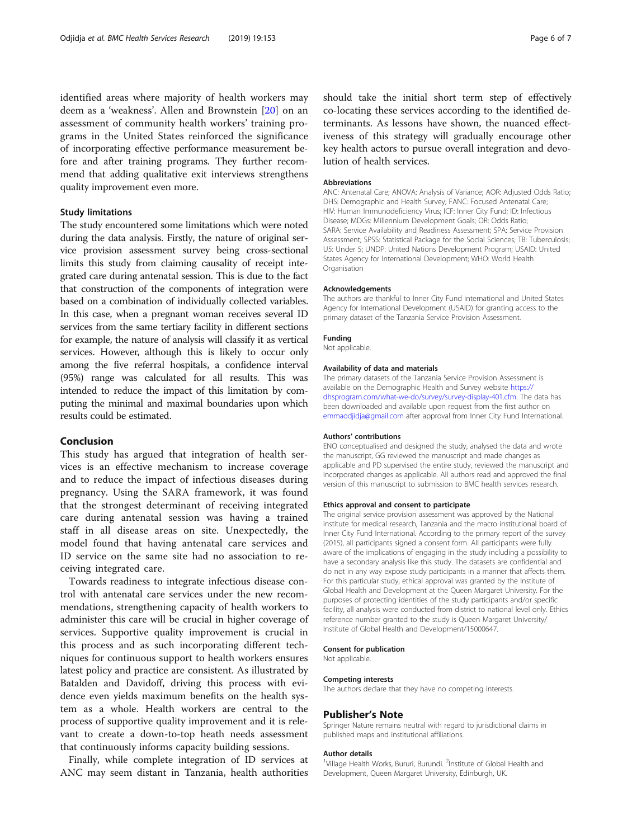identified areas where majority of health workers may deem as a 'weakness'. Allen and Brownstein [[20\]](#page-6-0) on an assessment of community health workers' training programs in the United States reinforced the significance of incorporating effective performance measurement before and after training programs. They further recommend that adding qualitative exit interviews strengthens quality improvement even more.

# Study limitations

The study encountered some limitations which were noted during the data analysis. Firstly, the nature of original service provision assessment survey being cross-sectional limits this study from claiming causality of receipt integrated care during antenatal session. This is due to the fact that construction of the components of integration were based on a combination of individually collected variables. In this case, when a pregnant woman receives several ID services from the same tertiary facility in different sections for example, the nature of analysis will classify it as vertical services. However, although this is likely to occur only among the five referral hospitals, a confidence interval (95%) range was calculated for all results. This was intended to reduce the impact of this limitation by computing the minimal and maximal boundaries upon which results could be estimated.

# Conclusion

This study has argued that integration of health services is an effective mechanism to increase coverage and to reduce the impact of infectious diseases during pregnancy. Using the SARA framework, it was found that the strongest determinant of receiving integrated care during antenatal session was having a trained staff in all disease areas on site. Unexpectedly, the model found that having antenatal care services and ID service on the same site had no association to receiving integrated care.

Towards readiness to integrate infectious disease control with antenatal care services under the new recommendations, strengthening capacity of health workers to administer this care will be crucial in higher coverage of services. Supportive quality improvement is crucial in this process and as such incorporating different techniques for continuous support to health workers ensures latest policy and practice are consistent. As illustrated by Batalden and Davidoff, driving this process with evidence even yields maximum benefits on the health system as a whole. Health workers are central to the process of supportive quality improvement and it is relevant to create a down-to-top heath needs assessment that continuously informs capacity building sessions.

Finally, while complete integration of ID services at ANC may seem distant in Tanzania, health authorities

should take the initial short term step of effectively co-locating these services according to the identified determinants. As lessons have shown, the nuanced effectiveness of this strategy will gradually encourage other key health actors to pursue overall integration and devolution of health services.

#### Abbreviations

ANC: Antenatal Care; ANOVA: Analysis of Variance; AOR: Adjusted Odds Ratio; DHS: Demographic and Health Survey; FANC: Focused Antenatal Care; HIV: Human Immunodeficiency Virus; ICF: Inner City Fund; ID: Infectious Disease; MDGs: Millennium Development Goals; OR: Odds Ratio; SARA: Service Availability and Readiness Assessment; SPA: Service Provision Assessment; SPSS: Statistical Package for the Social Sciences; TB: Tuberculosis; U5: Under 5; UNDP: United Nations Development Program; USAID: United States Agency for International Development; WHO: World Health Organisation

#### Acknowledgements

The authors are thankful to Inner City Fund international and United States Agency for International Development (USAID) for granting access to the primary dataset of the Tanzania Service Provision Assessment.

#### Funding

Not applicable.

#### Availability of data and materials

The primary datasets of the Tanzania Service Provision Assessment is available on the Demographic Health and Survey website [https://](https://dhsprogram.com/what-we-do/survey/survey-display-401.cfm) [dhsprogram.com/what-we-do/survey/survey-display-401.cfm.](https://dhsprogram.com/what-we-do/survey/survey-display-401.cfm) The data has been downloaded and available upon request from the first author on [emmaodjidja@gmail.com](mailto:emmaodjidja@gmail.com) after approval from Inner City Fund International.

#### Authors' contributions

ENO conceptualised and designed the study, analysed the data and wrote the manuscript, GG reviewed the manuscript and made changes as applicable and PD supervised the entire study, reviewed the manuscript and incorporated changes as applicable. All authors read and approved the final version of this manuscript to submission to BMC health services research.

#### Ethics approval and consent to participate

The original service provision assessment was approved by the National institute for medical research, Tanzania and the macro institutional board of Inner City Fund International. According to the primary report of the survey (2015), all participants signed a consent form. All participants were fully aware of the implications of engaging in the study including a possibility to have a secondary analysis like this study. The datasets are confidential and do not in any way expose study participants in a manner that affects them. For this particular study, ethical approval was granted by the Institute of Global Health and Development at the Queen Margaret University. For the purposes of protecting identities of the study participants and/or specific facility, all analysis were conducted from district to national level only. Ethics reference number granted to the study is Queen Margaret University/ Institute of Global Health and Development/15000647.

#### Consent for publication

Not applicable.

#### Competing interests

The authors declare that they have no competing interests.

### Publisher's Note

Springer Nature remains neutral with regard to jurisdictional claims in published maps and institutional affiliations.

#### Author details

<sup>1</sup>Village Health Works, Bururi, Burundi. <sup>2</sup>Institute of Global Health and Development, Queen Margaret University, Edinburgh, UK.